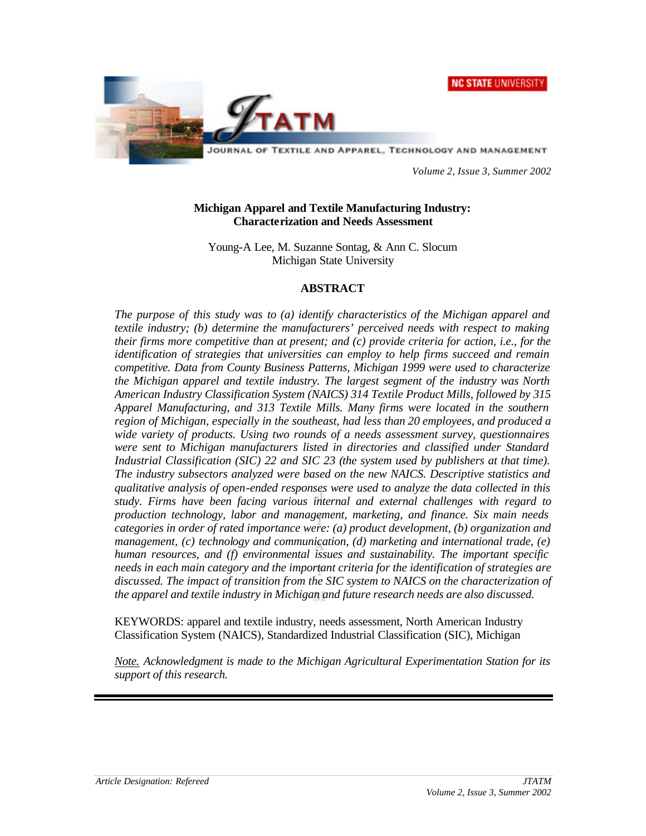**NC STATE UNIVERSITY** 



JOURNAL OF TEXTILE AND APPAREL, TECHNOLOGY AND MANAGEMENT

*Volume 2, Issue 3, Summer 2002*

#### **Michigan Apparel and Textile Manufacturing Industry: Characterization and Needs Assessment**

Young-A Lee, M. Suzanne Sontag, & Ann C. Slocum Michigan State University

#### **ABSTRACT**

*The purpose of this study was to (a) identify characteristics of the Michigan apparel and textile industry; (b) determine the manufacturers' perceived needs with respect to making their firms more competitive than at present; and (c) provide criteria for action, i.e., for the identification of strategies that universities can employ to help firms succeed and remain competitive. Data from County Business Patterns, Michigan 1999 were used to characterize the Michigan apparel and textile industry. The largest segment of the industry was North American Industry Classification System (NAICS) 314 Textile Product Mills, followed by 315 Apparel Manufacturing, and 313 Textile Mills. Many firms were located in the southern region of Michigan, especially in the southeast, had less than 20 employees, and produced a wide variety of products. Using two rounds of a needs assessment survey, questionnaires were sent to Michigan manufacturers listed in directories and classified under Standard Industrial Classification (SIC) 22 and SIC 23 (the system used by publishers at that time). The industry subsectors analyzed were based on the new NAICS. Descriptive statistics and qualitative analysis of open-ended responses were used to analyze the data collected in this study. Firms have been facing various internal and external challenges with regard to production technology, labor and management, marketing, and finance. Six main needs categories in order of rated importance were: (a) product development, (b) organization and management, (c) technology and communication, (d) marketing and international trade, (e) human resources, and (f) environmental issues and sustainability. The important specific needs in each main category and the important criteria for the identification of strategies are discussed. The impact of transition from the SIC system to NAICS on the characterization of the apparel and textile industry in Michigan and future research needs are also discussed.* 

KEYWORDS: apparel and textile industry, needs assessment, North American Industry Classification System (NAICS), Standardized Industrial Classification (SIC), Michigan

*Note. Acknowledgment is made to the Michigan Agricultural Experimentation Station for its support of this research.*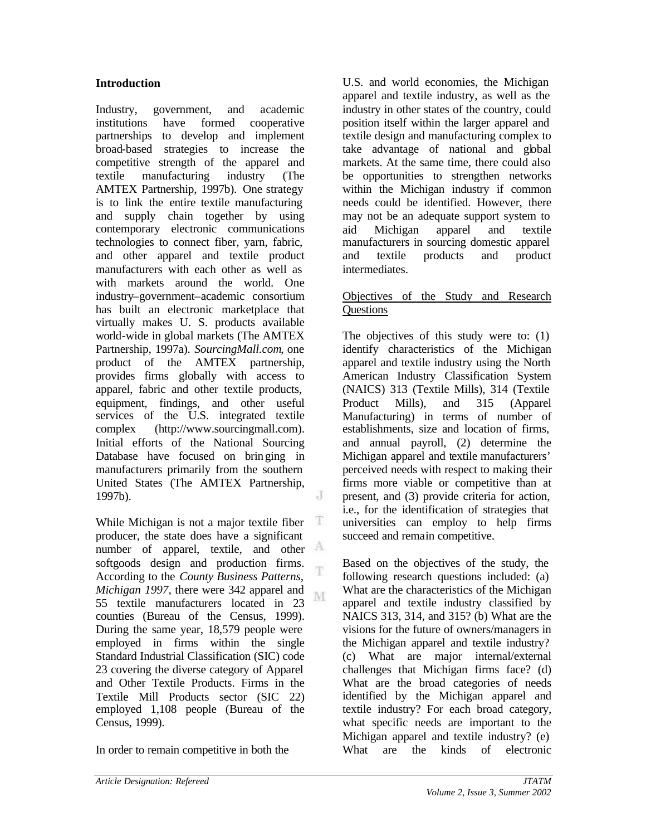#### **Introduction**

Industry, government, and academic institutions have formed cooperative partnerships to develop and implement broad-based strategies to increase the competitive strength of the apparel and textile manufacturing industry (The AMTEX Partnership, 1997b). One strategy is to link the entire textile manufacturing and supply chain together by using contemporary electronic communications technologies to connect fiber, yarn, fabric, and other apparel and textile product manufacturers with each other as well as with markets around the world. One industry–government–academic consortium has built an electronic marketplace that virtually makes U. S. products available world-wide in global markets (The AMTEX Partnership, 1997a). *SourcingMall.com*, one product of the AMTEX partnership, provides firms globally with access to apparel, fabric and other textile products, equipment, findings, and other useful services of the U.S. integrated textile complex (http://www.sourcingmall.com). Initial efforts of the National Sourcing Database have focused on bringing in manufacturers primarily from the southern United States (The AMTEX Partnership, J 1997b).

While Michigan is not a major textile fiber Ŧ producer, the state does have a significant number of apparel, textile, and other softgoods design and production firms. T According to the *County Business Patterns, Michigan 1997*, there were 342 apparel and M 55 textile manufacturers located in 23 counties (Bureau of the Census, 1999). During the same year, 18,579 people were employed in firms within the single Standard Industrial Classification (SIC) code 23 covering the diverse category of Apparel and Other Textile Products. Firms in the Textile Mill Products sector (SIC 22) employed 1,108 people (Bureau of the Census, 1999).

In order to remain competitive in both the

U.S. and world economies, the Michigan apparel and textile industry, as well as the industry in other states of the country, could position itself within the larger apparel and textile design and manufacturing complex to take advantage of national and global markets. At the same time, there could also be opportunities to strengthen networks within the Michigan industry if common needs could be identified. However, there may not be an adequate support system to aid Michigan apparel and textile manufacturers in sourcing domestic apparel and textile products and product intermediates.

#### Objectives of the Study and Research **Questions**

The objectives of this study were to: (1) identify characteristics of the Michigan apparel and textile industry using the North American Industry Classification System (NAICS) 313 (Textile Mills), 314 (Textile Product Mills), and 315 (Apparel Manufacturing) in terms of number of establishments, size and location of firms, and annual payroll, (2) determine the Michigan apparel and textile manufacturers' perceived needs with respect to making their firms more viable or competitive than at present, and (3) provide criteria for action, i.e., for the identification of strategies that universities can employ to help firms succeed and remain competitive.

Based on the objectives of the study, the following research questions included: (a) What are the characteristics of the Michigan apparel and textile industry classified by NAICS 313, 314, and 315? (b) What are the visions for the future of owners/managers in the Michigan apparel and textile industry? (c) What are major internal/external challenges that Michigan firms face? (d) What are the broad categories of needs identified by the Michigan apparel and textile industry? For each broad category, what specific needs are important to the Michigan apparel and textile industry? (e) What are the kinds of electronic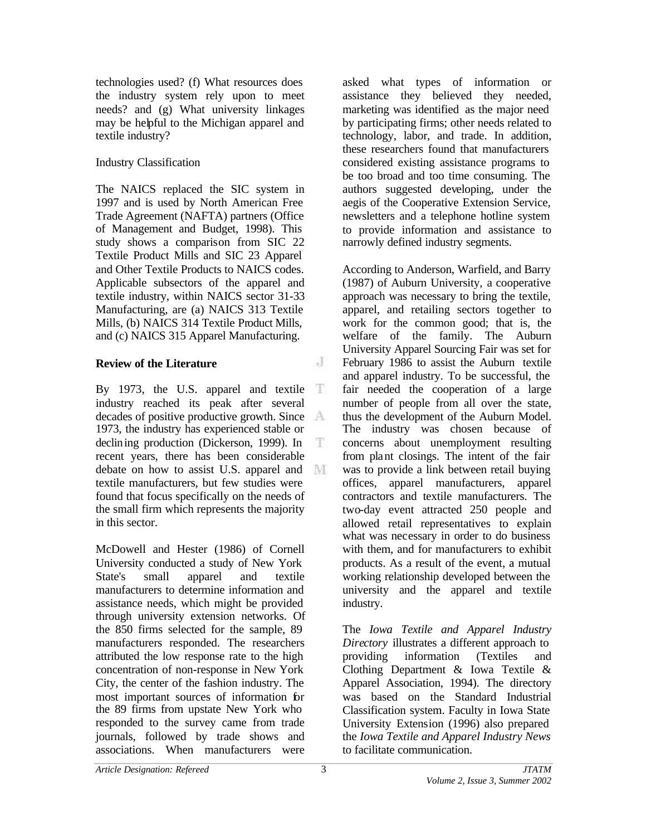technologies used? (f) What resources does the industry system rely upon to meet needs? and (g) What university linkages may be helpful to the Michigan apparel and textile industry?

### Industry Classification

The NAICS replaced the SIC system in 1997 and is used by North American Free Trade Agreement (NAFTA) partners (Office of Management and Budget, 1998). This study shows a comparison from SIC 22 Textile Product Mills and SIC 23 Apparel and Other Textile Products to NAICS codes. Applicable subsectors of the apparel and textile industry, within NAICS sector 31-33 Manufacturing, are (a) NAICS 313 Textile Mills, (b) NAICS 314 Textile Product Mills, and (c) NAICS 315 Apparel Manufacturing.

## **Review of the Literature**

By 1973, the U.S. apparel and textile Ŧ industry reached its peak after several decades of positive productive growth. Since 1973, the industry has experienced stable or declining production (Dickerson, 1999). In Ŧ recent years, there has been considerable debate on how to assist U.S. apparel and M textile manufacturers, but few studies were found that focus specifically on the needs of the small firm which represents the majority in this sector.

McDowell and Hester (1986) of Cornell University conducted a study of New York State's small apparel and textile manufacturers to determine information and assistance needs, which might be provided through university extension networks. Of the 850 firms selected for the sample, 89 manufacturers responded. The researchers attributed the low response rate to the high concentration of non-response in New York City, the center of the fashion industry. The most important sources of information for the 89 firms from upstate New York who responded to the survey came from trade journals, followed by trade shows and associations. When manufacturers were

asked what types of information or assistance they believed they needed, marketing was identified as the major need by participating firms; other needs related to technology, labor, and trade. In addition, these researchers found that manufacturers considered existing assistance programs to be too broad and too time consuming. The authors suggested developing, under the aegis of the Cooperative Extension Service, newsletters and a telephone hotline system to provide information and assistance to narrowly defined industry segments.

According to Anderson, Warfield, and Barry (1987) of Auburn University, a cooperative approach was necessary to bring the textile, apparel, and retailing sectors together to work for the common good; that is, the welfare of the family. The Auburn University Apparel Sourcing Fair was set for February 1986 to assist the Auburn textile and apparel industry. To be successful, the fair needed the cooperation of a large number of people from all over the state, thus the development of the Auburn Model. The industry was chosen because of concerns about unemployment resulting from plant closings. The intent of the fair was to provide a link between retail buying offices, apparel manufacturers, apparel contractors and textile manufacturers. The two-day event attracted 250 people and allowed retail representatives to explain what was necessary in order to do business with them, and for manufacturers to exhibit products. As a result of the event, a mutual working relationship developed between the university and the apparel and textile industry.

The *Iowa Textile and Apparel Industry Directory* illustrates a different approach to providing information (Textiles and Clothing Department & Iowa Textile & Apparel Association, 1994). The directory was based on the Standard Industrial Classification system. Faculty in Iowa State University Extension (1996) also prepared the *Iowa Textile and Apparel Industry News*  to facilitate communication.

 $\overline{a}$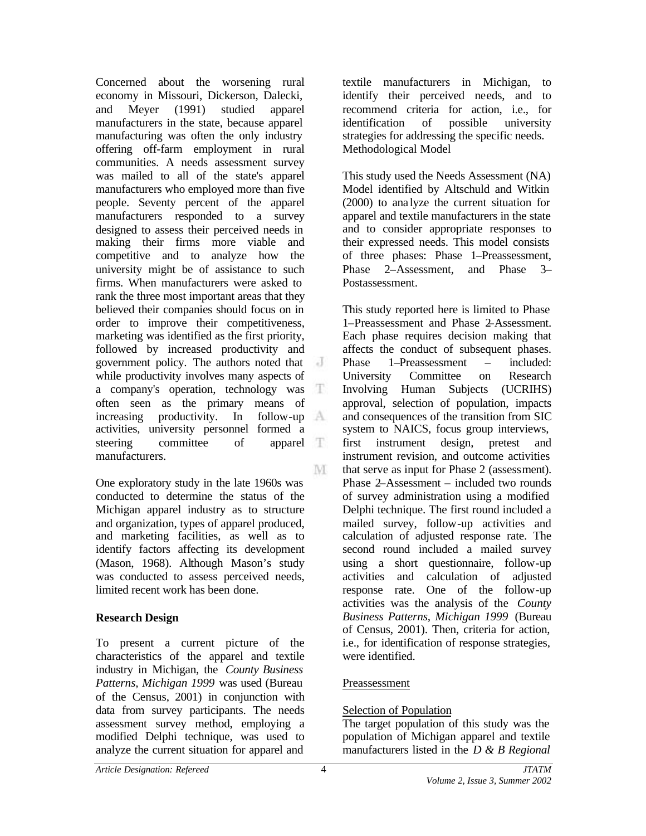Concerned about the worsening rural economy in Missouri, Dickerson, Dalecki, and Meyer (1991) studied apparel manufacturers in the state, because apparel manufacturing was often the only industry offering off-farm employment in rural communities. A needs assessment survey was mailed to all of the state's apparel manufacturers who employed more than five people. Seventy percent of the apparel manufacturers responded to a survey designed to assess their perceived needs in making their firms more viable and competitive and to analyze how the university might be of assistance to such firms. When manufacturers were asked to rank the three most important areas that they believed their companies should focus on in order to improve their competitiveness, marketing was identified as the first priority, followed by increased productivity and government policy. The authors noted that  $\overline{d}$ while productivity involves many aspects of a company's operation, technology was T often seen as the primary means of increasing productivity. In follow-up activities, university personnel formed a steering committee of apparel manufacturers. M

One exploratory study in the late 1960s was conducted to determine the status of the Michigan apparel industry as to structure and organization, types of apparel produced, and marketing facilities, as well as to identify factors affecting its development (Mason, 1968). Although Mason's study was conducted to assess perceived needs, limited recent work has been done.

#### **Research Design**

To present a current picture of the characteristics of the apparel and textile industry in Michigan, the *County Business Patterns, Michigan 1999* was used (Bureau of the Census, 2001) in conjunction with data from survey participants. The needs assessment survey method, employing a modified Delphi technique, was used to analyze the current situation for apparel and

textile manufacturers in Michigan, to identify their perceived needs, and to recommend criteria for action, i.e., for identification of possible university strategies for addressing the specific needs. Methodological Model

This study used the Needs Assessment (NA) Model identified by Altschuld and Witkin (2000) to ana lyze the current situation for apparel and textile manufacturers in the state and to consider appropriate responses to their expressed needs. This model consists of three phases: Phase 1–Preassessment, Phase 2–Assessment, and Phase 3– Postassessment.

This study reported here is limited to Phase 1–Preassessment and Phase 2–Assessment. Each phase requires decision making that affects the conduct of subsequent phases. Phase 1–Preassessment – included: University Committee on Research Involving Human Subjects (UCRIHS) approval, selection of population, impacts and consequences of the transition from SIC system to NAICS, focus group interviews, first instrument design, pretest and instrument revision, and outcome activities that serve as input for Phase 2 (assessment). Phase 2–Assessment – included two rounds of survey administration using a modified Delphi technique. The first round included a mailed survey, follow-up activities and calculation of adjusted response rate. The second round included a mailed survey using a short questionnaire, follow-up activities and calculation of adjusted response rate. One of the follow-up activities was the analysis of the *County Business Patterns, Michigan 1999* (Bureau of Census, 2001). Then, criteria for action, i.e., for identification of response strategies, were identified.

#### Preassessment

#### Selection of Population

The target population of this study was the population of Michigan apparel and textile manufacturers listed in the *D & B Regional*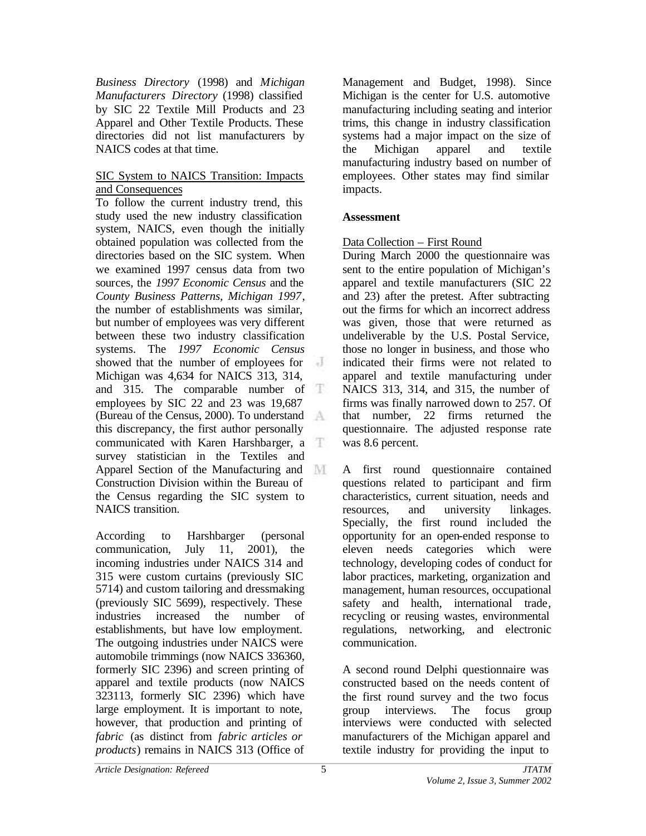*Business Directory* (1998) and *Michigan Manufacturers Directory* (1998) classified by SIC 22 Textile Mill Products and 23 Apparel and Other Textile Products. These directories did not list manufacturers by NAICS codes at that time.

#### SIC System to NAICS Transition: Impacts and Consequences

To follow the current industry trend, this study used the new industry classification system, NAICS, even though the initially obtained population was collected from the directories based on the SIC system. When we examined 1997 census data from two sources, the *1997 Economic Census* and the *County Business Patterns, Michigan 1997*, the number of establishments was similar, but number of employees was very different between these two industry classification systems. The *1997 Economic Census* showed that the number of employees for Michigan was 4,634 for NAICS 313, 314, and 315. The comparable number of T employees by SIC 22 and 23 was 19,687 (Bureau of the Census, 2000). To understand this discrepancy, the first author personally communicated with Karen Harshbarger, a survey statistician in the Textiles and Apparel Section of the Manufacturing and Construction Division within the Bureau of the Census regarding the SIC system to NAICS transition.

According to Harshbarger (personal communication, July 11, 2001), the incoming industries under NAICS 314 and 315 were custom curtains (previously SIC 5714) and custom tailoring and dressmaking (previously SIC 5699), respectively. These industries increased the number of establishments, but have low employment. The outgoing industries under NAICS were automobile trimmings (now NAICS 336360, formerly SIC 2396) and screen printing of apparel and textile products (now NAICS 323113, formerly SIC 2396) which have large employment. It is important to note, however, that production and printing of *fabric* (as distinct from *fabric articles or products*) remains in NAICS 313 (Office of

Management and Budget, 1998). Since Michigan is the center for U.S. automotive manufacturing including seating and interior trims, this change in industry classification systems had a major impact on the size of the Michigan apparel and textile manufacturing industry based on number of employees. Other states may find similar impacts.

#### **Assessment**

#### Data Collection – First Round

During March 2000 the questionnaire was sent to the entire population of Michigan's apparel and textile manufacturers (SIC 22 and 23) after the pretest. After subtracting out the firms for which an incorrect address was given, those that were returned as undeliverable by the U.S. Postal Service, those no longer in business, and those who indicated their firms were not related to apparel and textile manufacturing under NAICS 313, 314, and 315, the number of firms was finally narrowed down to 257. Of that number, 22 firms returned the questionnaire. The adjusted response rate was 8.6 percent.

A first round questionnaire contained questions related to participant and firm characteristics, current situation, needs and resources, and university linkages. Specially, the first round included the opportunity for an open-ended response to eleven needs categories which were technology, developing codes of conduct for labor practices, marketing, organization and management, human resources, occupational safety and health, international trade, recycling or reusing wastes, environmental regulations, networking, and electronic communication.

A second round Delphi questionnaire was constructed based on the needs content of the first round survey and the two focus group interviews. The focus group interviews were conducted with selected manufacturers of the Michigan apparel and textile industry for providing the input to

5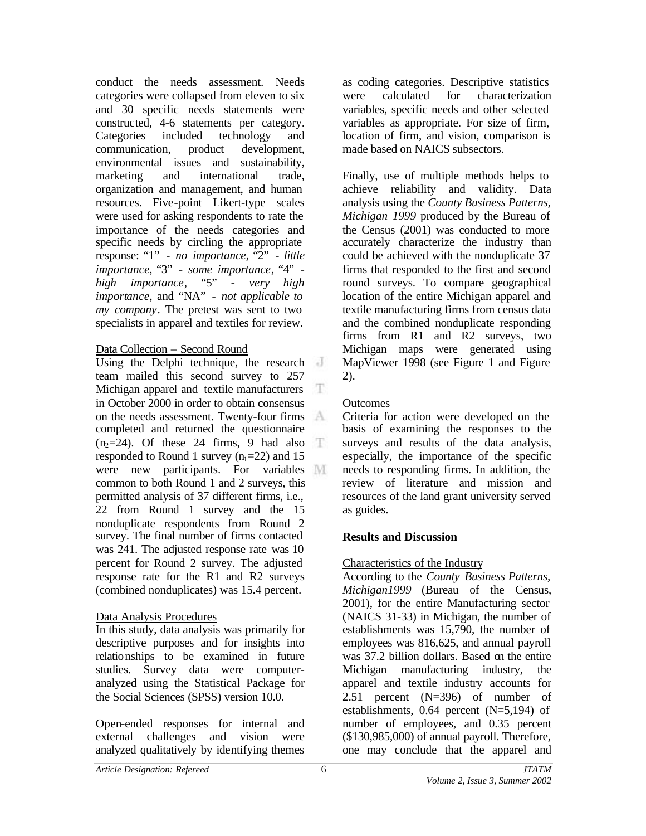conduct the needs assessment. Needs categories were collapsed from eleven to six and 30 specific needs statements were constructed, 4-6 statements per category. Categories included technology and communication, product development, environmental issues and sustainability, marketing and international trade, organization and management, and human resources. Five-point Likert-type scales were used for asking respondents to rate the importance of the needs categories and specific needs by circling the appropriate response: "1" - *no importance*, "2" - *little importance*, "3" - *some importance*, "4" *high importance*, "5" - *very high importance*, and "NA" - *not applicable to my company*. The pretest was sent to two specialists in apparel and textiles for review.

#### Data Collection – Second Round

Using the Delphi technique, the research team mailed this second survey to 257 Michigan apparel and textile manufacturers T in October 2000 in order to obtain consensus on the needs assessment. Twenty-four firms completed and returned the questionnaire  $(n_2=24)$ . Of these 24 firms, 9 had also T. responded to Round 1 survey  $(n_1=22)$  and 15 were new participants. For variables common to both Round 1 and 2 surveys, this permitted analysis of 37 different firms, i.e., 22 from Round 1 survey and the 15 nonduplicate respondents from Round 2 survey. The final number of firms contacted was 241. The adjusted response rate was 10 percent for Round 2 survey. The adjusted response rate for the R1 and R2 surveys (combined nonduplicates) was 15.4 percent.

#### Data Analysis Procedures

In this study, data analysis was primarily for descriptive purposes and for insights into relationships to be examined in future studies. Survey data were computeranalyzed using the Statistical Package for the Social Sciences (SPSS) version 10.0.

Open-ended responses for internal and external challenges and vision were analyzed qualitatively by identifying themes

as coding categories. Descriptive statistics were calculated for characterization variables, specific needs and other selected variables as appropriate. For size of firm, location of firm, and vision, comparison is made based on NAICS subsectors.

Finally, use of multiple methods helps to achieve reliability and validity. Data analysis using the *County Business Patterns, Michigan 1999* produced by the Bureau of the Census (2001) was conducted to more accurately characterize the industry than could be achieved with the nonduplicate 37 firms that responded to the first and second round surveys. To compare geographical location of the entire Michigan apparel and textile manufacturing firms from census data and the combined nonduplicate responding firms from R1 and R2 surveys, two Michigan maps were generated using MapViewer 1998 (see Figure 1 and Figure 2).

# **Outcomes**

Criteria for action were developed on the basis of examining the responses to the surveys and results of the data analysis, especially, the importance of the specific needs to responding firms. In addition, the review of literature and mission and resources of the land grant university served as guides.

# **Results and Discussion**

# Characteristics of the Industry

According to the *County Business Patterns, Michigan1999* (Bureau of the Census, 2001), for the entire Manufacturing sector (NAICS 31-33) in Michigan, the number of establishments was 15,790, the number of employees was 816,625, and annual payroll was 37.2 billion dollars. Based on the entire Michigan manufacturing industry, the apparel and textile industry accounts for 2.51 percent (N=396) of number of establishments, 0.64 percent (N=5,194) of number of employees, and 0.35 percent (\$130,985,000) of annual payroll. Therefore, one may conclude that the apparel and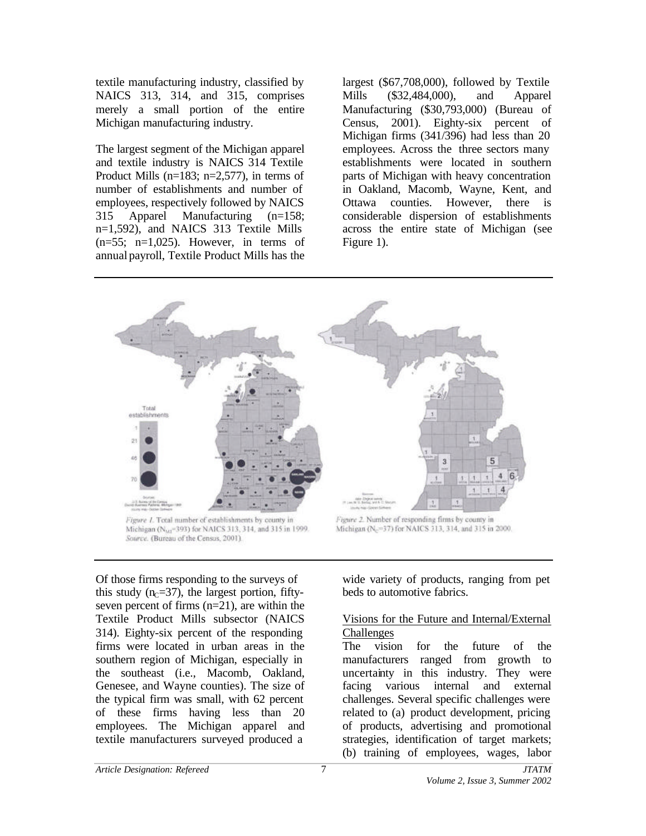textile manufacturing industry, classified by NAICS 313, 314, and 315, comprises merely a small portion of the entire Michigan manufacturing industry.

The largest segment of the Michigan apparel and textile industry is NAICS 314 Textile Product Mills ( $n=183$ ;  $n=2.577$ ), in terms of number of establishments and number of employees, respectively followed by NAICS 315 Apparel Manufacturing (n=158; n=1,592), and NAICS 313 Textile Mills  $(n=55; n=1,025)$ . However, in terms of annual payroll, Textile Product Mills has the largest (\$67,708,000), followed by Textile Mills (\$32,484,000), and Apparel Manufacturing (\$30,793,000) (Bureau of Census, 2001). Eighty-six percent of Michigan firms (341/396) had less than 20 employees. Across the three sectors many establishments were located in southern parts of Michigan with heavy concentration in Oakland, Macomb, Wayne, Kent, and Ottawa counties. However, there is considerable dispersion of establishments across the entire state of Michigan (see Figure 1).



Michigan (NM=393) for NAICS 313, 314, and 315 in 1999. Source. (Bureau of the Census, 2001).

Michigan (No=37) for NAICS 313, 314, and 315 in 2000.

Of those firms responding to the surveys of this study  $(n<sub>C</sub>=37)$ , the largest portion, fiftyseven percent of firms (n=21), are within the Textile Product Mills subsector (NAICS 314). Eighty-six percent of the responding firms were located in urban areas in the southern region of Michigan, especially in the southeast (i.e., Macomb, Oakland, Genesee, and Wayne counties). The size of the typical firm was small, with 62 percent of these firms having less than 20 employees. The Michigan apparel and textile manufacturers surveyed produced a

wide variety of products, ranging from pet beds to automotive fabrics.

#### Visions for the Future and Internal/External **Challenges**

The vision for the future of the manufacturers ranged from growth to uncertainty in this industry. They were facing various internal and external challenges. Several specific challenges were related to (a) product development, pricing of products, advertising and promotional strategies, identification of target markets; (b) training of employees, wages, labor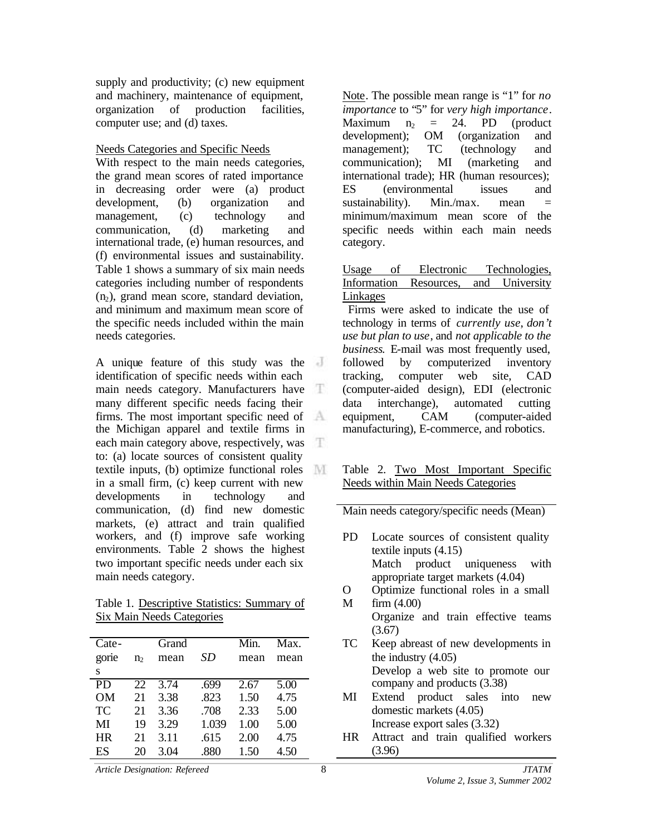supply and productivity; (c) new equipment and machinery, maintenance of equipment, organization of production facilities, computer use; and (d) taxes.

Needs Categories and Specific Needs

With respect to the main needs categories, the grand mean scores of rated importance in decreasing order were (a) product development, (b) organization and management, (c) technology and communication, (d) marketing and international trade, (e) human resources, and (f) environmental issues and sustainability. Table 1 shows a summary of six main needs categories including number of respondents  $(n<sub>2</sub>)$ , grand mean score, standard deviation, and minimum and maximum mean score of the specific needs included within the main needs categories.

A unique feature of this study was the identification of specific needs within each main needs category. Manufacturers have Æ. many different specific needs facing their firms. The most important specific need of the Michigan apparel and textile firms in each main category above, respectively, was to: (a) locate sources of consistent quality textile inputs, (b) optimize functional roles M in a small firm, (c) keep current with new developments in technology and communication, (d) find new domestic markets, (e) attract and train qualified workers, and (f) improve safe working environments. Table 2 shows the highest two important specific needs under each six main needs category.

Table 1. Descriptive Statistics: Summary of Six Main Needs Categories

| Cate-<br>gorie<br>S | n <sub>2</sub> | Grand<br>mean | SD    | Min.<br>mean | Max.<br>mean |
|---------------------|----------------|---------------|-------|--------------|--------------|
| P <sub>D</sub>      | 22             | 3.74          | .699  | 2.67         | 5.00         |
| <b>OM</b>           | 21             | 3.38          | .823  | 1.50         | 4.75         |
| <b>TC</b>           | 21             | 3.36          | .708  | 2.33         | 5.00         |
| MI                  | 19             | 3.29          | 1.039 | 1.00         | 5.00         |
| <b>HR</b>           | 21             | 3.11          | .615  | 2.00         | 4.75         |
| ES                  | 20             | 3.04          | .880  | 1.50         | 4.50         |

Note. The possible mean range is "1" for *no importance* to "5" for *very high importance*. Maximum  $n_2$  = 24. PD (product development); OM (organization and management); TC (technology and communication); MI (marketing and international trade); HR (human resources); ES (environmental issues and sustainability). Min./max. mean  $=$ minimum/maximum mean score of the specific needs within each main needs category.

#### Usage of Electronic Technologies, Information Resources, and University Linkages

 Firms were asked to indicate the use of technology in terms of *currently use*, *don't use but plan to use*, and *not applicable to the business*. E-mail was most frequently used, followed by computerized inventory tracking, computer web site, CAD (computer-aided design), EDI (electronic data interchange), automated cutting equipment, CAM (computer-aided manufacturing), E-commerce, and robotics.

#### Table 2. Two Most Important Specific Needs within Main Needs Categories

Main needs category/specific needs (Mean)

PD Locate sources of consistent quality textile inputs (4.15) Match product uniqueness with appropriate target markets (4.04) O Optimize functional roles in a small

M firm (4.00) Organize and train effective teams  $(3.67)$ 

- TC Keep abreast of new developments in the industry (4.05) Develop a web site to promote our company and products (3.38)
- MI Extend product sales into new domestic markets (4.05) Increase export sales (3.32)
- HR Attract and train qualified workers (3.96)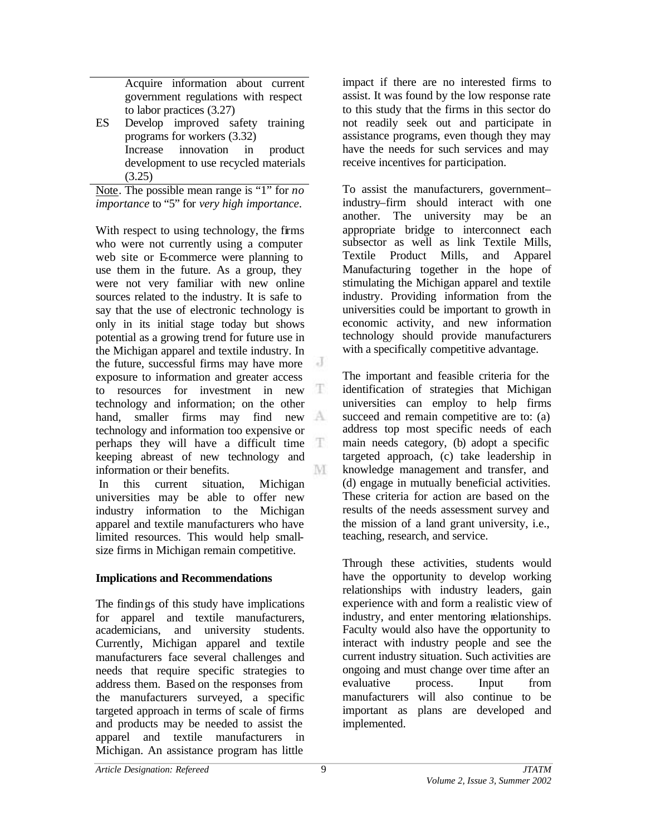Acquire information about current government regulations with respect to labor practices (3.27)

ES Develop improved safety training programs for workers (3.32) Increase innovation in product development to use recycled materials  $(3.25)$ 

Note. The possible mean range is "1" for *no importance* to "5" for *very high importance*.

With respect to using technology, the firms who were not currently using a computer web site or E-commerce were planning to use them in the future. As a group, they were not very familiar with new online sources related to the industry. It is safe to say that the use of electronic technology is only in its initial stage today but shows potential as a growing trend for future use in the Michigan apparel and textile industry. In the future, successful firms may have more exposure to information and greater access T to resources for investment in new technology and information; on the other hand, smaller firms may find new A technology and information too expensive or perhaps they will have a difficult time  $\mathbb T$ keeping abreast of new technology and M information or their benefits.

 In this current situation, Michigan universities may be able to offer new industry information to the Michigan apparel and textile manufacturers who have limited resources. This would help smallsize firms in Michigan remain competitive.

## **Implications and Recommendations**

The findings of this study have implications for apparel and textile manufacturers, academicians, and university students. Currently, Michigan apparel and textile manufacturers face several challenges and needs that require specific strategies to address them. Based on the responses from the manufacturers surveyed, a specific targeted approach in terms of scale of firms and products may be needed to assist the apparel and textile manufacturers in Michigan. An assistance program has little

impact if there are no interested firms to assist. It was found by the low response rate to this study that the firms in this sector do not readily seek out and participate in assistance programs, even though they may have the needs for such services and may receive incentives for participation.

To assist the manufacturers, government– industry–firm should interact with one another. The university may be an appropriate bridge to interconnect each subsector as well as link Textile Mills, Textile Product Mills, and Apparel Manufacturing together in the hope of stimulating the Michigan apparel and textile industry. Providing information from the universities could be important to growth in economic activity, and new information technology should provide manufacturers with a specifically competitive advantage.

The important and feasible criteria for the identification of strategies that Michigan universities can employ to help firms succeed and remain competitive are to: (a) address top most specific needs of each main needs category, (b) adopt a specific targeted approach, (c) take leadership in knowledge management and transfer, and (d) engage in mutually beneficial activities. These criteria for action are based on the results of the needs assessment survey and the mission of a land grant university, i.e., teaching, research, and service.

Through these activities, students would have the opportunity to develop working relationships with industry leaders, gain experience with and form a realistic view of industry, and enter mentoring relationships. Faculty would also have the opportunity to interact with industry people and see the current industry situation. Such activities are ongoing and must change over time after an evaluative process. Input from manufacturers will also continue to be important as plans are developed and implemented.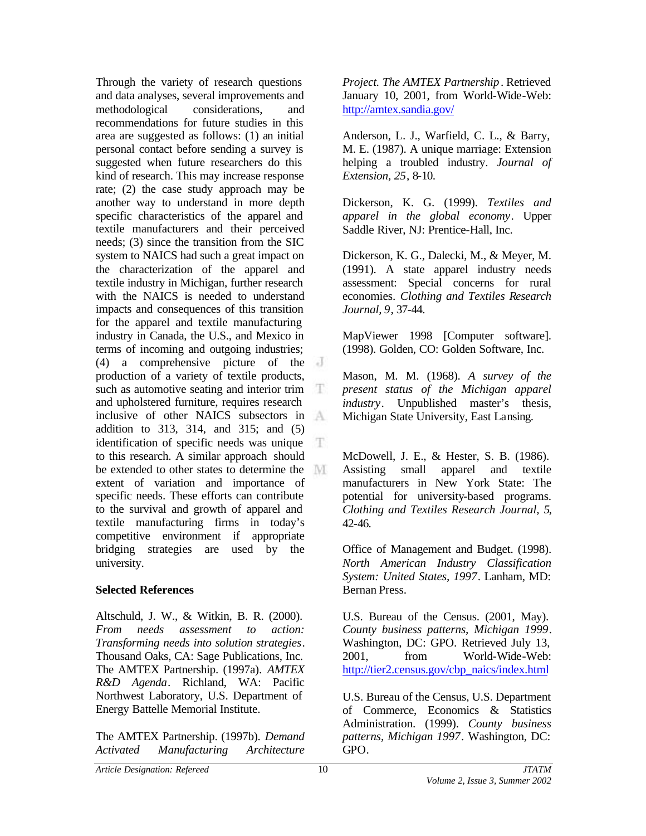Through the variety of research questions and data analyses, several improvements and methodological considerations, and recommendations for future studies in this area are suggested as follows: (1) an initial personal contact before sending a survey is suggested when future researchers do this kind of research. This may increase response rate; (2) the case study approach may be another way to understand in more depth specific characteristics of the apparel and textile manufacturers and their perceived needs; (3) since the transition from the SIC system to NAICS had such a great impact on the characterization of the apparel and textile industry in Michigan, further research with the NAICS is needed to understand impacts and consequences of this transition for the apparel and textile manufacturing industry in Canada, the U.S., and Mexico in terms of incoming and outgoing industries; (4) a comprehensive picture of the production of a variety of textile products, such as automotive seating and interior trim T and upholstered furniture, requires research inclusive of other NAICS subsectors in addition to 313, 314, and 315; and (5) identification of specific needs was unique Ŧ to this research. A similar approach should be extended to other states to determine the extent of variation and importance of specific needs. These efforts can contribute to the survival and growth of apparel and textile manufacturing firms in today's competitive environment if appropriate bridging strategies are used by the university.

#### **Selected References**

Altschuld, J. W., & Witkin, B. R. (2000). *From needs assessment to action: Transforming needs into solution strategies*. Thousand Oaks, CA: Sage Publications, Inc. The AMTEX Partnership. (1997a). *AMTEX R&D Agenda*. Richland, WA: Pacific Northwest Laboratory, U.S. Department of Energy Battelle Memorial Institute.

The AMTEX Partnership. (1997b). *Demand Activated Manufacturing Architecture*

*Project. The AMTEX Partnership*. Retrieved January 10, 2001, from World-Wide-Web: http://amtex.sandia.gov/

Anderson, L. J., Warfield, C. L., & Barry, M. E. (1987). A unique marriage: Extension helping a troubled industry. *Journal of Extension, 25*, 8-10.

Dickerson, K. G. (1999). *Textiles and apparel in the global economy*. Upper Saddle River, NJ: Prentice-Hall, Inc.

Dickerson, K. G., Dalecki, M., & Meyer, M. (1991). A state apparel industry needs assessment: Special concerns for rural economies. *Clothing and Textiles Research Journal, 9*, 37-44.

MapViewer 1998 [Computer software]. (1998). Golden, CO: Golden Software, Inc.

Mason, M. M. (1968). *A survey of the present status of the Michigan apparel industry*. Unpublished master's thesis, Michigan State University, East Lansing.

McDowell, J. E., & Hester, S. B. (1986). Assisting small apparel and textile manufacturers in New York State: The potential for university-based programs. *Clothing and Textiles Research Journal, 5*, 42-46.

Office of Management and Budget. (1998). *North American Industry Classification System: United States, 1997*. Lanham, MD: Bernan Press.

U.S. Bureau of the Census. (2001, May). *County business patterns, Michigan 1999*. Washington, DC: GPO. Retrieved July 13, 2001, from World-Wide-Web: http://tier2.census.gov/cbp\_naics/index.html

U.S. Bureau of the Census, U.S. Department of Commerce, Economics & Statistics Administration. (1999). *County business patterns, Michigan 1997*. Washington, DC: GPO.